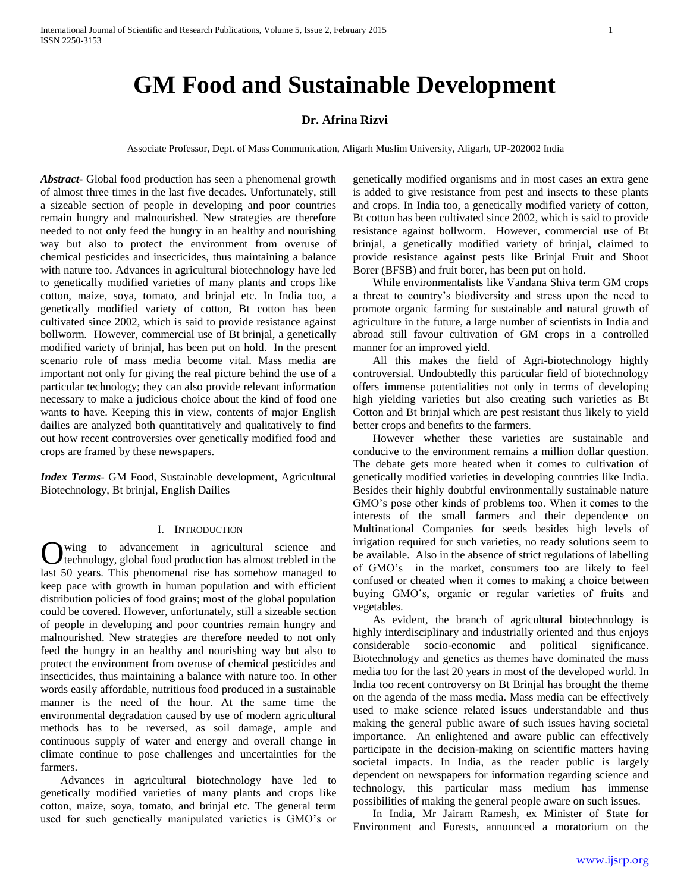# **GM Food and Sustainable Development**

# **Dr. Afrina Rizvi**

Associate Professor, Dept. of Mass Communication, Aligarh Muslim University, Aligarh, UP-202002 India

*Abstract***-** Global food production has seen a phenomenal growth of almost three times in the last five decades. Unfortunately, still a sizeable section of people in developing and poor countries remain hungry and malnourished. New strategies are therefore needed to not only feed the hungry in an healthy and nourishing way but also to protect the environment from overuse of chemical pesticides and insecticides, thus maintaining a balance with nature too. Advances in agricultural biotechnology have led to genetically modified varieties of many plants and crops like cotton, maize, soya, tomato, and brinjal etc. In India too, a genetically modified variety of cotton, Bt cotton has been cultivated since 2002, which is said to provide resistance against bollworm. However, commercial use of Bt brinjal, a genetically modified variety of brinjal, has been put on hold. In the present scenario role of mass media become vital. Mass media are important not only for giving the real picture behind the use of a particular technology; they can also provide relevant information necessary to make a judicious choice about the kind of food one wants to have. Keeping this in view, contents of major English dailies are analyzed both quantitatively and qualitatively to find out how recent controversies over genetically modified food and crops are framed by these newspapers.

*Index Terms*- GM Food, Sustainable development, Agricultural Biotechnology, Bt brinjal, English Dailies

## I. INTRODUCTION

wing to advancement in agricultural science and technology, global food production has almost trebled in the **C** wing to advancement in agricultural science and technology, global food production has almost trebled in the last 50 years. This phenomenal rise has somehow managed to keep pace with growth in human population and with efficient distribution policies of food grains; most of the global population could be covered. However, unfortunately, still a sizeable section of people in developing and poor countries remain hungry and malnourished. New strategies are therefore needed to not only feed the hungry in an healthy and nourishing way but also to protect the environment from overuse of chemical pesticides and insecticides, thus maintaining a balance with nature too. In other words easily affordable, nutritious food produced in a sustainable manner is the need of the hour. At the same time the environmental degradation caused by use of modern agricultural methods has to be reversed, as soil damage, ample and continuous supply of water and energy and overall change in climate continue to pose challenges and uncertainties for the farmers.

 Advances in agricultural biotechnology have led to genetically modified varieties of many plants and crops like cotton, maize, soya, tomato, and brinjal etc. The general term used for such genetically manipulated varieties is GMO's or genetically modified organisms and in most cases an extra gene is added to give resistance from pest and insects to these plants and crops. In India too, a genetically modified variety of cotton, Bt cotton has been cultivated since 2002, which is said to provide resistance against bollworm. However, commercial use of Bt brinjal, a genetically modified variety of brinjal, claimed to provide resistance against pests like Brinjal Fruit and Shoot Borer (BFSB) and fruit borer, has been put on hold.

 While environmentalists like Vandana Shiva term GM crops a threat to country's biodiversity and stress upon the need to promote organic farming for sustainable and natural growth of agriculture in the future, a large number of scientists in India and abroad still favour cultivation of GM crops in a controlled manner for an improved yield.

 All this makes the field of Agri-biotechnology highly controversial. Undoubtedly this particular field of biotechnology offers immense potentialities not only in terms of developing high yielding varieties but also creating such varieties as Bt Cotton and Bt brinjal which are pest resistant thus likely to yield better crops and benefits to the farmers.

 However whether these varieties are sustainable and conducive to the environment remains a million dollar question. The debate gets more heated when it comes to cultivation of genetically modified varieties in developing countries like India. Besides their highly doubtful environmentally sustainable nature GMO's pose other kinds of problems too. When it comes to the interests of the small farmers and their dependence on Multinational Companies for seeds besides high levels of irrigation required for such varieties, no ready solutions seem to be available. Also in the absence of strict regulations of labelling of GMO's in the market, consumers too are likely to feel confused or cheated when it comes to making a choice between buying GMO's, organic or regular varieties of fruits and vegetables.

 As evident, the branch of agricultural biotechnology is highly interdisciplinary and industrially oriented and thus enjoys considerable socio-economic and political significance. Biotechnology and genetics as themes have dominated the mass media too for the last 20 years in most of the developed world. In India too recent controversy on Bt Brinjal has brought the theme on the agenda of the mass media. Mass media can be effectively used to make science related issues understandable and thus making the general public aware of such issues having societal importance. An enlightened and aware public can effectively participate in the decision-making on scientific matters having societal impacts. In India, as the reader public is largely dependent on newspapers for information regarding science and technology, this particular mass medium has immense possibilities of making the general people aware on such issues.

 In India, Mr Jairam Ramesh, ex Minister of State for Environment and Forests, announced a moratorium on the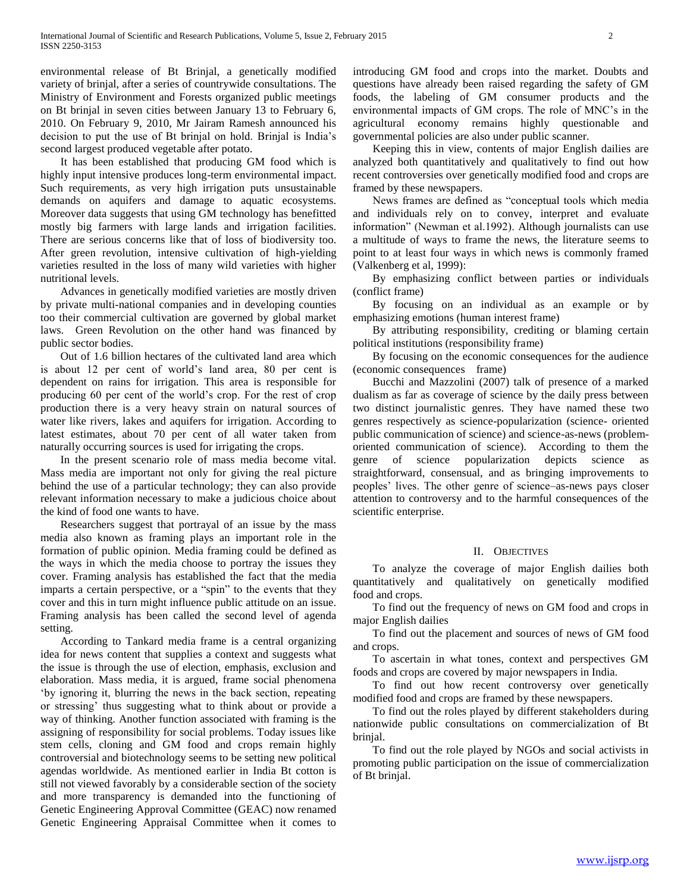environmental release of Bt Brinjal, a genetically modified variety of brinjal, after a series of countrywide consultations. The Ministry of Environment and Forests organized public meetings on Bt brinjal in seven cities between January 13 to February 6, 2010. On February 9, 2010, Mr Jairam Ramesh announced his decision to put the use of Bt brinjal on hold. Brinjal is India's second largest produced vegetable after potato.

 It has been established that producing GM food which is highly input intensive produces long-term environmental impact. Such requirements, as very high irrigation puts unsustainable demands on aquifers and damage to aquatic ecosystems. Moreover data suggests that using GM technology has benefitted mostly big farmers with large lands and irrigation facilities. There are serious concerns like that of loss of biodiversity too. After green revolution, intensive cultivation of high-yielding varieties resulted in the loss of many wild varieties with higher nutritional levels.

 Advances in genetically modified varieties are mostly driven by private multi-national companies and in developing counties too their commercial cultivation are governed by global market laws. Green Revolution on the other hand was financed by public sector bodies.

 Out of 1.6 billion hectares of the cultivated land area which is about 12 per cent of world's land area, 80 per cent is dependent on rains for irrigation. This area is responsible for producing 60 per cent of the world's crop. For the rest of crop production there is a very heavy strain on natural sources of water like rivers, lakes and aquifers for irrigation. According to latest estimates, about 70 per cent of all water taken from naturally occurring sources is used for irrigating the crops.

 In the present scenario role of mass media become vital. Mass media are important not only for giving the real picture behind the use of a particular technology; they can also provide relevant information necessary to make a judicious choice about the kind of food one wants to have.

 Researchers suggest that portrayal of an issue by the mass media also known as framing plays an important role in the formation of public opinion. Media framing could be defined as the ways in which the media choose to portray the issues they cover. Framing analysis has established the fact that the media imparts a certain perspective, or a "spin" to the events that they cover and this in turn might influence public attitude on an issue. Framing analysis has been called the second level of agenda setting.

 According to Tankard media frame is a central organizing idea for news content that supplies a context and suggests what the issue is through the use of election, emphasis, exclusion and elaboration. Mass media, it is argued, frame social phenomena 'by ignoring it, blurring the news in the back section, repeating or stressing' thus suggesting what to think about or provide a way of thinking. Another function associated with framing is the assigning of responsibility for social problems. Today issues like stem cells, cloning and GM food and crops remain highly controversial and biotechnology seems to be setting new political agendas worldwide. As mentioned earlier in India Bt cotton is still not viewed favorably by a considerable section of the society and more transparency is demanded into the functioning of Genetic Engineering Approval Committee (GEAC) now renamed Genetic Engineering Appraisal Committee when it comes to

introducing GM food and crops into the market. Doubts and questions have already been raised regarding the safety of GM foods, the labeling of GM consumer products and the environmental impacts of GM crops. The role of MNC's in the agricultural economy remains highly questionable and governmental policies are also under public scanner.

 Keeping this in view, contents of major English dailies are analyzed both quantitatively and qualitatively to find out how recent controversies over genetically modified food and crops are framed by these newspapers.

 News frames are defined as "conceptual tools which media and individuals rely on to convey, interpret and evaluate information" (Newman et al.1992). Although journalists can use a multitude of ways to frame the news, the literature seems to point to at least four ways in which news is commonly framed (Valkenberg et al, 1999):

 By emphasizing conflict between parties or individuals (conflict frame)

 By focusing on an individual as an example or by emphasizing emotions (human interest frame)

 By attributing responsibility, crediting or blaming certain political institutions (responsibility frame)

 By focusing on the economic consequences for the audience (economic consequences frame)

 Bucchi and Mazzolini (2007) talk of presence of a marked dualism as far as coverage of science by the daily press between two distinct journalistic genres. They have named these two genres respectively as science-popularization (science- oriented public communication of science) and science-as-news (problemoriented communication of science). According to them the genre of science popularization depicts science as straightforward, consensual, and as bringing improvements to peoples' lives. The other genre of science–as-news pays closer attention to controversy and to the harmful consequences of the scientific enterprise.

## II. OBJECTIVES

 To analyze the coverage of major English dailies both quantitatively and qualitatively on genetically modified food and crops.

 To find out the frequency of news on GM food and crops in major English dailies

 To find out the placement and sources of news of GM food and crops.

 To ascertain in what tones, context and perspectives GM foods and crops are covered by major newspapers in India.

 To find out how recent controversy over genetically modified food and crops are framed by these newspapers.

 To find out the roles played by different stakeholders during nationwide public consultations on commercialization of Bt brinjal.

 To find out the role played by NGOs and social activists in promoting public participation on the issue of commercialization of Bt brinjal.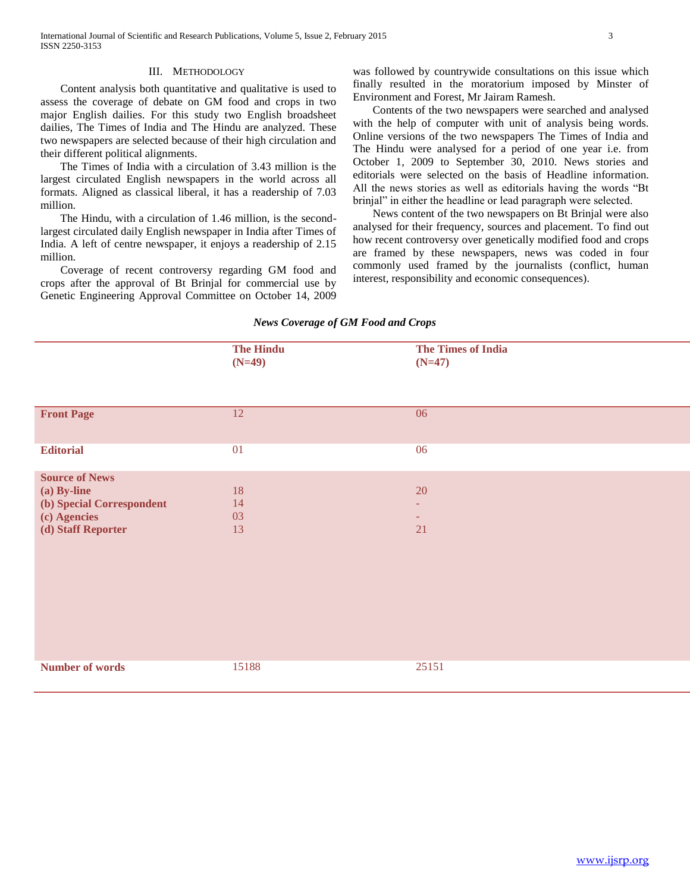#### III. METHODOLOGY

 Content analysis both quantitative and qualitative is used to assess the coverage of debate on GM food and crops in two major English dailies. For this study two English broadsheet dailies, The Times of India and The Hindu are analyzed. These two newspapers are selected because of their high circulation and their different political alignments.

 The Times of India with a circulation of 3.43 million is the largest circulated English newspapers in the world across all formats. Aligned as classical liberal, it has a readership of 7.03 million.

 The Hindu, with a circulation of 1.46 million, is the secondlargest circulated daily English newspaper in India after Times of India. A left of centre newspaper, it enjoys a readership of 2.15 million.

 Coverage of recent controversy regarding GM food and crops after the approval of Bt Brinjal for commercial use by Genetic Engineering Approval Committee on October 14, 2009 was followed by countrywide consultations on this issue which finally resulted in the moratorium imposed by Minster of Environment and Forest, Mr Jairam Ramesh.

 Contents of the two newspapers were searched and analysed with the help of computer with unit of analysis being words. Online versions of the two newspapers The Times of India and The Hindu were analysed for a period of one year i.e. from October 1, 2009 to September 30, 2010. News stories and editorials were selected on the basis of Headline information. All the news stories as well as editorials having the words "Bt brinjal" in either the headline or lead paragraph were selected.

 News content of the two newspapers on Bt Brinjal were also analysed for their frequency, sources and placement. To find out how recent controversy over genetically modified food and crops are framed by these newspapers, news was coded in four commonly used framed by the journalists (conflict, human interest, responsibility and economic consequences).

# *News Coverage of GM Food and Crops*

|                                                                                                         | <b>The Hindu</b><br>$(N=49)$ | <b>The Times of India</b><br>$(N=47)$ |
|---------------------------------------------------------------------------------------------------------|------------------------------|---------------------------------------|
| <b>Front Page</b>                                                                                       | 12                           | 06                                    |
| <b>Editorial</b>                                                                                        | 01                           | 06                                    |
| <b>Source of News</b><br>(a) By-line<br>(b) Special Correspondent<br>(c) Agencies<br>(d) Staff Reporter | 18<br>14<br>03<br>13         | 20<br>÷<br>21                         |
| <b>Number of words</b>                                                                                  | 15188                        | 25151                                 |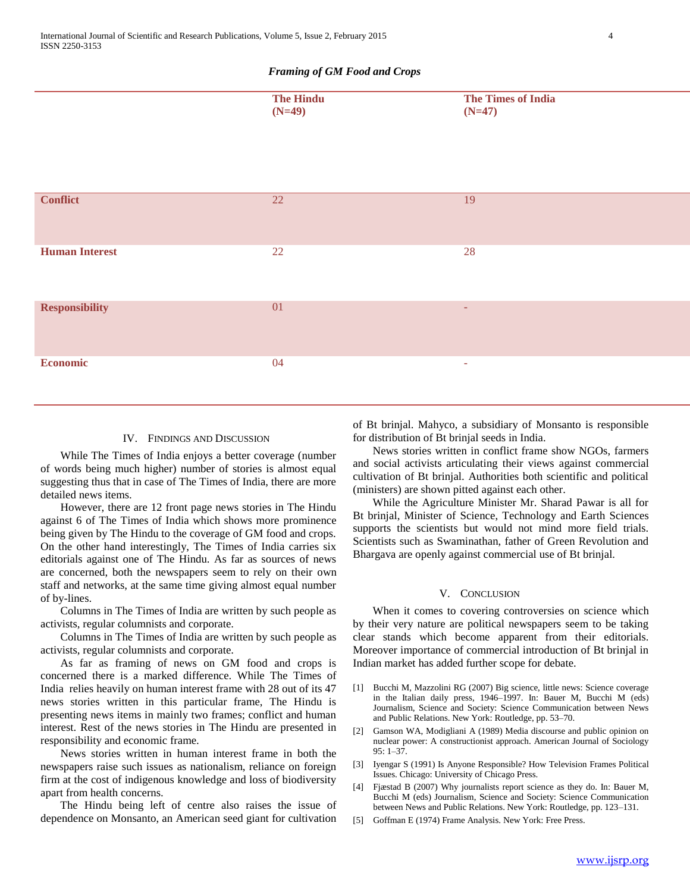## *Framing of GM Food and Crops*

|                       | <b>The Hindu</b><br>$(N=49)$ | <b>The Times of India</b><br>$(N=47)$ |
|-----------------------|------------------------------|---------------------------------------|
|                       |                              |                                       |
| <b>Conflict</b>       | $\overline{22}$              | $\overline{19}$                       |
| <b>Human Interest</b> | 22                           | 28                                    |
| <b>Responsibility</b> | 01                           | ٠                                     |
| <b>Economic</b>       | 04                           | ÷                                     |

### IV. FINDINGS AND DISCUSSION

 While The Times of India enjoys a better coverage (number of words being much higher) number of stories is almost equal suggesting thus that in case of The Times of India, there are more detailed news items.

 However, there are 12 front page news stories in The Hindu against 6 of The Times of India which shows more prominence being given by The Hindu to the coverage of GM food and crops. On the other hand interestingly, The Times of India carries six editorials against one of The Hindu. As far as sources of news are concerned, both the newspapers seem to rely on their own staff and networks, at the same time giving almost equal number of by-lines.

 Columns in The Times of India are written by such people as activists, regular columnists and corporate.

 Columns in The Times of India are written by such people as activists, regular columnists and corporate.

 As far as framing of news on GM food and crops is concerned there is a marked difference. While The Times of India relies heavily on human interest frame with 28 out of its 47 news stories written in this particular frame, The Hindu is presenting news items in mainly two frames; conflict and human interest. Rest of the news stories in The Hindu are presented in responsibility and economic frame.

 News stories written in human interest frame in both the newspapers raise such issues as nationalism, reliance on foreign firm at the cost of indigenous knowledge and loss of biodiversity apart from health concerns.

 The Hindu being left of centre also raises the issue of dependence on Monsanto, an American seed giant for cultivation of Bt brinjal. Mahyco, a subsidiary of Monsanto is responsible for distribution of Bt brinjal seeds in India.

 News stories written in conflict frame show NGOs, farmers and social activists articulating their views against commercial cultivation of Bt brinjal. Authorities both scientific and political (ministers) are shown pitted against each other.

 While the Agriculture Minister Mr. Sharad Pawar is all for Bt brinjal, Minister of Science, Technology and Earth Sciences supports the scientists but would not mind more field trials. Scientists such as Swaminathan, father of Green Revolution and Bhargava are openly against commercial use of Bt brinjal.

### V. CONCLUSION

 When it comes to covering controversies on science which by their very nature are political newspapers seem to be taking clear stands which become apparent from their editorials. Moreover importance of commercial introduction of Bt brinjal in Indian market has added further scope for debate.

- [1] Bucchi M, Mazzolini RG (2007) Big science, little news: Science coverage in the Italian daily press, 1946–1997. In: Bauer M, Bucchi M (eds) Journalism, Science and Society: Science Communication between News and Public Relations. New York: Routledge, pp. 53–70.
- [2] Gamson WA, Modigliani A (1989) Media discourse and public opinion on nuclear power: A constructionist approach. American Journal of Sociology 95: 1–37.
- [3] Iyengar S (1991) Is Anyone Responsible? How Television Frames Political Issues. Chicago: University of Chicago Press.
- [4] Fjæstad B (2007) Why journalists report science as they do. In: Bauer M, Bucchi M (eds) Journalism, Science and Society: Science Communication between News and Public Relations. New York: Routledge, pp. 123–131.
- [5] Goffman E (1974) Frame Analysis. New York: Free Press.